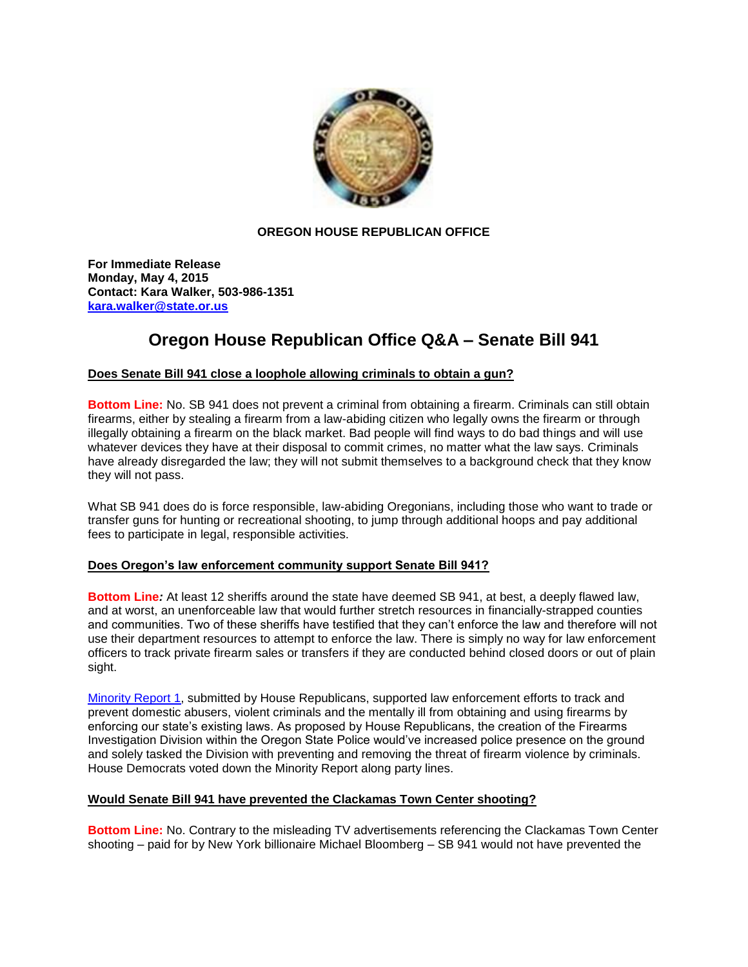

## **OREGON HOUSE REPUBLICAN OFFICE**

**For Immediate Release Monday, May 4, 2015 Contact: Kara Walker, 503-986-1351 [kara.walker@state.or.us](mailto:kara.walker@state.or.us)**

# **Oregon House Republican Office Q&A – Senate Bill 941**

## **Does Senate Bill 941 close a loophole allowing criminals to obtain a gun?**

**Bottom Line:** No. SB 941 does not prevent a criminal from obtaining a firearm. Criminals can still obtain firearms, either by stealing a firearm from a law-abiding citizen who legally owns the firearm or through illegally obtaining a firearm on the black market. Bad people will find ways to do bad things and will use whatever devices they have at their disposal to commit crimes, no matter what the law says. Criminals have already disregarded the law; they will not submit themselves to a background check that they know they will not pass.

What SB 941 does do is force responsible, law-abiding Oregonians, including those who want to trade or transfer guns for hunting or recreational shooting, to jump through additional hoops and pay additional fees to participate in legal, responsible activities.

## **Does Oregon's law enforcement community support Senate Bill 941?**

**Bottom Line***:* At least 12 sheriffs around the state have deemed SB 941, at best, a deeply flawed law, and at worst, an unenforceable law that would further stretch resources in financially-strapped counties and communities. Two of these sheriffs have testified that they can't enforce the law and therefore will not use their department resources to attempt to enforce the law. There is simply no way for law enforcement officers to track private firearm sales or transfers if they are conducted behind closed doors or out of plain sight.

[Minority Report 1,](https://www.oregonlegislature.gov/houserepublicans/Documents/House%20Democrats%20Vote%20Down%20Minority%20Report%20To%20Increase%20Support%20For%20Law%20Enforcement%20Investigations%20Of%20Gun%20Violence.pdf) submitted by House Republicans, supported law enforcement efforts to track and prevent domestic abusers, violent criminals and the mentally ill from obtaining and using firearms by enforcing our state's existing laws. As proposed by House Republicans, the creation of the Firearms Investigation Division within the Oregon State Police would've increased police presence on the ground and solely tasked the Division with preventing and removing the threat of firearm violence by criminals. House Democrats voted down the Minority Report along party lines.

### **Would Senate Bill 941 have prevented the Clackamas Town Center shooting?**

**Bottom Line:** No. Contrary to the misleading TV advertisements referencing the Clackamas Town Center shooting – paid for by New York billionaire Michael Bloomberg – SB 941 would not have prevented the